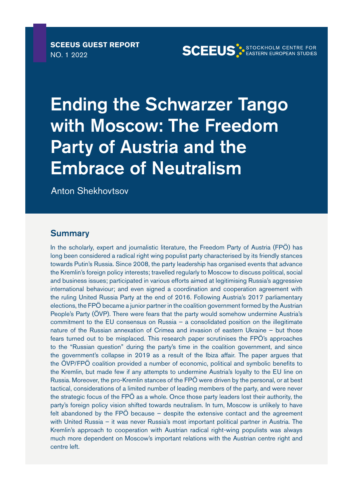**SCEEUS GUEST REPORT** NO. 1 2022

**SCEEUS STOCKHOLM CENTRE FOR** 

Ending the Schwarzer Tango with Moscow: The Freedom Party of Austria and the Embrace of Neutralism

Anton Shekhovtsov

#### **Summary**

In the scholarly, expert and journalistic literature, the Freedom Party of Austria (FPÖ) has long been considered a radical right wing populist party characterised by its friendly stances towards Putin's Russia. Since 2008, the party leadership has organised events that advance the Kremlin's foreign policy interests; travelled regularly to Moscow to discuss political, social and business issues; participated in various efforts aimed at legitimising Russia's aggressive international behaviour; and even signed a coordination and cooperation agreement with the ruling United Russia Party at the end of 2016. Following Austria's 2017 parliamentary elections, the FPÖ became a junior partner in the coalition government formed by the Austrian People's Party (ÖVP). There were fears that the party would somehow undermine Austria's commitment to the EU consensus on Russia – a consolidated position on the illegitimate nature of the Russian annexation of Crimea and invasion of eastern Ukraine – but those fears turned out to be misplaced. This research paper scrutinises the FPÖ's approaches to the "Russian question" during the party's time in the coalition government, and since the government's collapse in 2019 as a result of the Ibiza affair. The paper argues that the ÖVP/FPÖ coalition provided a number of economic, political and symbolic benefits to the Kremlin, but made few if any attempts to undermine Austria's loyalty to the EU line on Russia. Moreover, the pro-Kremlin stances of the FPÖ were driven by the personal, or at best tactical, considerations of a limited number of leading members of the party, and were never the strategic focus of the FPÖ as a whole. Once those party leaders lost their authority, the party's foreign policy vision shifted towards neutralism. In turn, Moscow is unlikely to have felt abandoned by the FPÖ because – despite the extensive contact and the agreement with United Russia – it was never Russia's most important political partner in Austria. The Kremlin's approach to cooperation with Austrian radical right-wing populists was always much more dependent on Moscow's important relations with the Austrian centre right and centre left.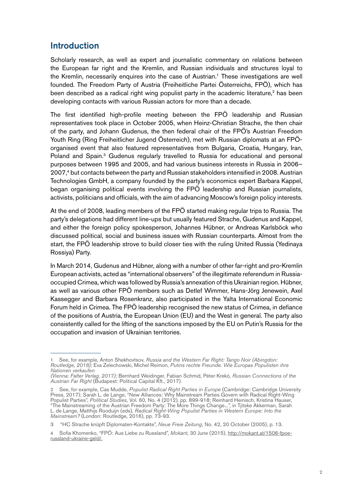### Introduction

Scholarly research, as well as expert and journalistic commentary on relations between the European far right and the Kremlin, and Russian individuals and structures loyal to the Kremlin, necessarily enquires into the case of Austrian.<sup>1</sup> These investigations are well founded. The Freedom Party of Austria (Freiheitliche Partei Österreichs, FPÖ), which has been described as a radical right wing populist party in the academic literature, $2$  has been developing contacts with various Russian actors for more than a decade.

The first identified high-profile meeting between the FPÖ leadership and Russian representatives took place in October 2005, when Heinz-Christian Strache, the then chair of the party, and Johann Gudenus, the then federal chair of the FPÖ's Austrian Freedom Youth Ring (Ring Freiheitlicher Jugend Österreich), met with Russian diplomats at an FPÖorganised event that also featured representatives from Bulgaria, Croatia, Hungary, Iran, Poland and Spain.<sup>3</sup> Gudenus regularly travelled to Russia for educational and personal purposes between 1995 and 2005, and had various business interests in Russia in 2006– 2007,4 but contacts between the party and Russian stakeholders intensified in 2008. Austrian Technologies GmbH, a company founded by the party's economics expert Barbara Kappel, began organising political events involving the FPÖ leadership and Russian journalists, activists, politicians and officials, with the aim of advancing Moscow's foreign policy interests.

At the end of 2008, leading members of the FPÖ started making regular trips to Russia. The party's delegations had different line-ups but usually featured Strache, Gudenus and Kappel, and either the foreign policy spokesperson, Johannes Hübner, or Andreas Karlsböck who discussed political, social and business issues with Russian counterparts. Almost from the start, the FPÖ leadership strove to build closer ties with the ruling United Russia (Yedinaya Rossiya) Party.

In March 2014, Gudenus and Hübner, along with a number of other far-right and pro-Kremlin European activists, acted as "international observers" of the illegitimate referendum in Russiaoccupied Crimea, which was followed by Russia's annexation of this Ukrainian region. Hübner, as well as various other FPÖ members such as Detlef Wimmer, Hans-Jörg Jenewein, Axel Kassegger and Barbara Rosenkranz, also participated in the Yalta International Economic Forum held in Crimea. The FPÖ leadership recognised the new status of Crimea, in defiance of the positions of Austria, the European Union (EU) and the West in general. The party also consistently called for the lifting of the sanctions imposed by the EU on Putin's Russia for the occupation and invasion of Ukrainian territories.

<sup>1</sup> See, for example, Anton Shekhovtsov, *Russia and the Western Far Right: Tango Noir (Abingdon: Routledge, 2018);* Eva Zelechowski, Michel Reimon, *Putins rechte Freunde. Wie Europas Populisten ihre Nationen verkaufen*

*<sup>(</sup>Vienna: Falter Verlag, 2017);* Bernhard Weidinger, Fabian Schmid, Péter Krekó*, Russian Connections of the Austrian Far Right* (Budapest: Political Capital Kft., 2017).

<sup>2</sup> See, for example, Cas Mudde, *Populist Radical Right Parties in Europe* (Cambridge: Cambridge University<br>Press, 2017); Sarah L. de Lange, "New Alliances: Why Mainstream Parties Govern with Radical Right-Wing Populist Parties", *Political Studies*, Vol. 60, No. 4 (2012), pp. 899-918; Reinhard Heinisch, Kristina Hauser, "The Mainstreaming of the Austrian Freedom Party: The More Things Change...", in Tjitske Akkerman, Sarah L. de Lange, Matthijs Rooduijn (eds), *Radical Right-Wing Populist Parties in Western Europe: Into the Mainstream?* (London: Routledge, 2016), pp. 73-93.

<sup>3 &</sup>quot;HC Strache knüpft Diplomaten-Kontakte", *Neue Freie Zeitung*, No. 42, 20 October (2005), p. 13.

<sup>4</sup> Sofia Khomenko, "FPÖ: Aus Liebe zu Russland", *Mokant*, 30 June (2015), [http://mokant.at/1506-fpoe](http://mokant.at/1506-fpoe-russland-ukraine-geld/.)[russland-ukraine-geld/.](http://mokant.at/1506-fpoe-russland-ukraine-geld/.)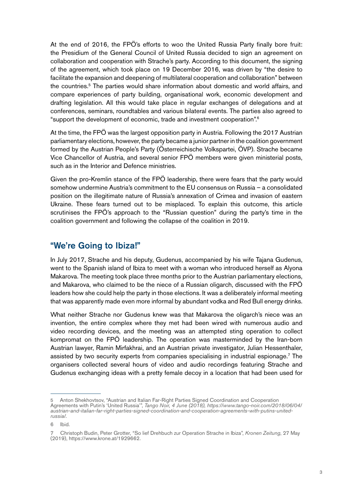At the end of 2016, the FPÖ's efforts to woo the United Russia Party finally bore fruit: the Presidium of the General Council of United Russia decided to sign an agreement on collaboration and cooperation with Strache's party. According to this document, the signing of the agreement, which took place on 19 December 2016, was driven by "the desire to facilitate the expansion and deepening of multilateral cooperation and collaboration" between the countries.<sup>5</sup> The parties would share information about domestic and world affairs, and compare experiences of party building, organisational work, economic development and drafting legislation. All this would take place in regular exchanges of delegations and at conferences, seminars, roundtables and various bilateral events. The parties also agreed to "support the development of economic, trade and investment cooperation".6

At the time, the FPÖ was the largest opposition party in Austria. Following the 2017 Austrian parliamentary elections, however, the party became a junior partner in the coalition government formed by the Austrian People's Party (Österreichische Volkspartei, ÖVP). Strache became Vice Chancellor of Austria, and several senior FPÖ members were given ministerial posts, such as in the Interior and Defence ministries.

Given the pro-Kremlin stance of the FPÖ leadership, there were fears that the party would somehow undermine Austria's commitment to the EU consensus on Russia – a consolidated position on the illegitimate nature of Russia's annexation of Crimea and invasion of eastern Ukraine. These fears turned out to be misplaced. To explain this outcome, this article scrutinises the FPÖ's approach to the "Russian question" during the party's time in the coalition government and following the collapse of the coalition in 2019.

## "We're Going to Ibiza!"

In July 2017, Strache and his deputy, Gudenus, accompanied by his wife Tajana Gudenus, went to the Spanish island of Ibiza to meet with a woman who introduced herself as Alyona Makarova. The meeting took place three months prior to the Austrian parliamentary elections, and Makarova, who claimed to be the niece of a Russian oligarch, discussed with the FPÖ leaders how she could help the party in those elections. It was a deliberately informal meeting that was apparently made even more informal by abundant vodka and Red Bull energy drinks.

What neither Strache nor Gudenus knew was that Makarova the oligarch's niece was an invention, the entire complex where they met had been wired with numerous audio and video recording devices, and the meeting was an attempted sting operation to collect kompromat on the FPÖ leadership. The operation was masterminded by the Iran-born Austrian lawyer, Ramin Mirfakhrai, and an Austrian private investigator, Julian Hessenthaler, assisted by two security experts from companies specialising in industrial espionage.7 The organisers collected several hours of video and audio recordings featuring Strache and Gudenus exchanging ideas with a pretty female decoy in a location that had been used for

<sup>5</sup> Anton Shekhovtsov, "Austrian and Italian Far-Right Parties Signed Coordination and Cooperation Agreements with Putin's 'United Russia'", *Tango Noir, 4 June (2018), https://www.tango-noir.com/2018/06/04/ austrian-and-italian-far-right-parties-signed-coordination-and-cooperation-agreements-with-putins-unitedrussia/.*

<sup>6</sup> Ibid.

<sup>7</sup> Christoph Budin, Peter Grotter, "So lief Drehbuch zur Operation Strache in Ibiza", *Kronen Zeitung*, 27 May (2019), https://www.krone.at/1929662.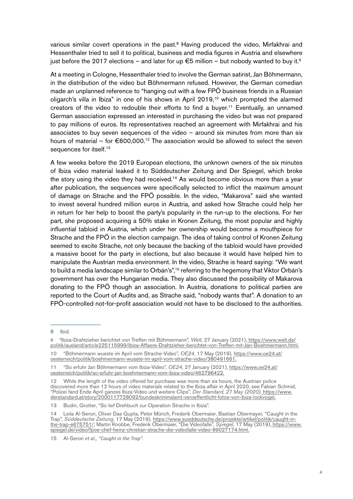various similar covert operations in the past.<sup>8</sup> Having produced the video, Mirfakhrai and Hessenthaler tried to sell it to political, business and media figures in Austria and elsewhere just before the 2017 elections – and later for up  $\epsilon$ 5 million – but nobody wanted to buy it.<sup>9</sup>

At a meeting in Cologne, Hessenthaler tried to involve the German satirist, Jan Böhmermann, in the distribution of the video but Böhmermann refused. However, the German comedian made an unplanned reference to "hanging out with a few FPÖ business friends in a Russian oligarch's villa in Ibiza" in one of his shows in April 2019,<sup>10</sup> which prompted the alarmed creators of the video to redouble their efforts to find a buyer.11 Eventually, an unnamed German association expressed an interested in purchasing the video but was not prepared to pay millions of euros. Its representatives reached an agreement with Mirfakhrai and his associates to buy seven sequences of the video – around six minutes from more than six hours of material – for  $\epsilon$ 600,000.<sup>12</sup> The association would be allowed to select the seven sequences for itself.<sup>13</sup>

A few weeks before the 2019 European elections, the unknown owners of the six minutes of Ibiza video material leaked it to Süddeutscher Zeitung and Der Spiegel, which broke the story using the video they had received.<sup>14</sup> As would become obvious more than a vear after publication, the sequences were specifically selected to inflict the maximum amount of damage on Strache and the FPÖ possible. In the video, "Makarova" said she wanted to invest several hundred million euros in Austria, and asked how Strache could help her in return for her help to boost the party's popularity in the run-up to the elections. For her part, she proposed acquiring a 50% stake in Kronen Zeitung, the most popular and highly influential tabloid in Austria, which under her ownership would become a mouthpiece for Strache and the FPÖ in the election campaign. The idea of taking control of Kronen Zeitung seemed to excite Strache, not only because the backing of the tabloid would have provided a massive boost for the party in elections, but also because it would have helped him to manipulate the Austrian media environment. In the video, Strache is heard saying: "We want to build a media landscape similar to Orbán's",<sup>15</sup> referring to the hegemony that Viktor Orbán's government has over the Hungarian media. They also discussed the possibility of Makarova donating to the FPÖ though an association. In Austria, donations to political parties are reported to the Court of Audits and, as Strache said, "nobody wants that". A donation to an FPÖ-controlled not-for-profit association would not have to be disclosed to the authorities.

<sup>8</sup> Ibid.

<sup>9</sup> "Ibiza-Drahtzieher berichtet von Treffen mit Böhmermann", *Welt*, 27 January (2021), [https://www.welt.de/]( https://www.welt.de/politik/ausland/article225115999/Ibiza-Affaere-Drahtzieher-berichtet-von-Treffe) [politik/ausland/article225115999/Ibiza-Affaere-Drahtzieher-berichtet-von-Treffen-mit-Jan-Boehmermann.html.]( https://www.welt.de/politik/ausland/article225115999/Ibiza-Affaere-Drahtzieher-berichtet-von-Treffe)

<sup>10 &</sup>quot;Böhmermann wusste im April vom Strache-Video", *OE24*, 17 May (2019), [https://www.oe24.at/](https://www.oe24.at/oesterreich/politik/boehmermann-wusste-im-april-vom-strache-video/380491661.) [oesterreich/politik/boehmermann-wusste-im-april-vom-strache-video/380491661.](https://www.oe24.at/oesterreich/politik/boehmermann-wusste-im-april-vom-strache-video/380491661.)

<sup>11 &</sup>quot;So erfuhr Jan Böhmermann vom Ibiza-Video", *OE24*, 27 January (2021), [https://www.oe24.at/](https://www.oe24.at/oesterreich/politik/so-erfuhr-jan-boehmermann-vom-ibiza-video/462796422.) [oesterreich/politik/so-erfuhr-jan-boehmermann-vom-ibiza-video/462796422.](https://www.oe24.at/oesterreich/politik/so-erfuhr-jan-boehmermann-vom-ibiza-video/462796422.)

<sup>12</sup> While the length of the video offered for purchase was more than six hours, the Austrian police discovered more than 12 hours of video materials related to the Ibiza affair in April 2020, see Fabian Schmid, "Polizei fand Ende April ganzes Ibiza-Video und weitere Clips", *Der Standard, 27 May (2020),* [https://www.]( https://www.derstandard.at/story/2000117728092/bundeskriminalamt-veroeffentlicht-fotos-von-ibiza-lo) [derstandard.at/story/2000117728092/bundeskriminalamt-veroeffentlicht-fotos-von-ibiza-lockvogel.]( https://www.derstandard.at/story/2000117728092/bundeskriminalamt-veroeffentlicht-fotos-von-ibiza-lo)

<sup>13</sup> Budin, Grotter, "So lief Drehbuch zur Operation Strache in Ibiza".

<sup>14</sup> Leila Al-Serori, Oliver Das Gupta, Peter Münch, Frederik Obermaier, Bastian Obermayer, "Caught in the Trap", *Süddeutsche Zeitung*, 17 May (2019), [https://www.sueddeutsche.de/projekte/artikel/politik/caught-in](https://www.sueddeutsche.de/projekte/artikel/politik/caught-in-the-trap-e675751/)[the-trap-e675751/;](https://www.sueddeutsche.de/projekte/artikel/politik/caught-in-the-trap-e675751/) Martin Knobbe, Frederik Obermaier, "Die Videofalle", *Spiegel*, 17 May (2019), [https://www.]( https://www.spiegel.de/video/fpoe-chef-heinz-christian-strache-die-videofalle-video-99027174.html.) [spiegel.de/video/fpoe-chef-heinz-christian-strache-die-videofalle-video-99027174.html.]( https://www.spiegel.de/video/fpoe-chef-heinz-christian-strache-die-videofalle-video-99027174.html.)

<sup>15</sup> Al-Serori *et al., "Caught in the Trap".*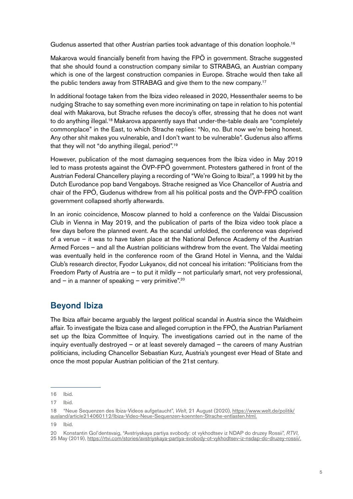Gudenus asserted that other Austrian parties took advantage of this donation loophole.<sup>16</sup>

Makarova would financially benefit from having the FPÖ in government. Strache suggested that she should found a construction company similar to STRABAG, an Austrian company which is one of the largest construction companies in Europe. Strache would then take all the public tenders away from STRABAG and give them to the new company.17

In additional footage taken from the Ibiza video released in 2020, Hessenthaler seems to be nudging Strache to say something even more incriminating on tape in relation to his potential deal with Makarova, but Strache refuses the decoy's offer, stressing that he does not want to do anything illegal.<sup>18</sup> Makarova apparently says that under-the-table deals are "completely commonplace" in the East, to which Strache replies: "No, no. But now we're being honest. Any other shit makes you vulnerable, and I don't want to be vulnerable". Gudenus also affirms that they will not "do anything illegal, period".19

However, publication of the most damaging sequences from the Ibiza video in May 2019 led to mass protests against the ÖVP-FPÖ government. Protesters gathered in front of the Austrian Federal Chancellery playing a recording of "We're Going to Ibiza!", a 1999 hit by the Dutch Eurodance pop band Vengaboys. Strache resigned as Vice Chancellor of Austria and chair of the FPÖ, Gudenus withdrew from all his political posts and the ÖVP-FPÖ coalition government collapsed shortly afterwards.

In an ironic coincidence, Moscow planned to hold a conference on the Valdai Discussion Club in Vienna in May 2019, and the publication of parts of the Ibiza video took place a few days before the planned event. As the scandal unfolded, the conference was deprived of a venue – it was to have taken place at the National Defence Academy of the Austrian Armed Forces – and all the Austrian politicians withdrew from the event. The Valdai meeting was eventually held in the conference room of the Grand Hotel in Vienna, and the Valdai Club's research director, Fyodor Lukyanov, did not conceal his irritation: "Politicians from the Freedom Party of Austria are – to put it mildly – not particularly smart, not very professional, and – in a manner of speaking – very primitive".<sup>20</sup>

# Beyond Ibiza

The Ibiza affair became arguably the largest political scandal in Austria since the Waldheim affair. To investigate the Ibiza case and alleged corruption in the FPÖ, the Austrian Parliament set up the Ibiza Committee of Inquiry. The investigations carried out in the name of the inquiry eventually destroyed – or at least severely damaged – the careers of many Austrian politicians, including Chancellor Sebastian Kurz, Austria's youngest ever Head of State and once the most popular Austrian politician of the 21st century.

<sup>16</sup> Ibid.

<sup>17</sup> Ibid.

<sup>18 &</sup>quot;Neue Sequenzen des Ibiza-Videos aufgetaucht", *Welt*, 21 August (2020), [https://www.welt.de/politik/](https://www.welt.de/politik/ausland/article214060112/Ibiza-Video-Neue-Sequenzen-koennten-Strache-ent) [ausland/article214060112/Ibiza-Video-Neue-Sequenzen-koennten-Strache-entlasten.html.](https://www.welt.de/politik/ausland/article214060112/Ibiza-Video-Neue-Sequenzen-koennten-Strache-ent)

<sup>19</sup> Ibid.

<sup>20</sup> Konstantin Gol'dentsvaig, "Avstriyskaya partiya svobody: ot vykhodtsev iz NDAP do druzey Rossii", *RTVI*, 25 May (2019),<https://rtvi.com/stories/avstriyskaya-partiya-svobody-ot-vykhodtsev-iz-nsdap-do-druzey-rossii/.>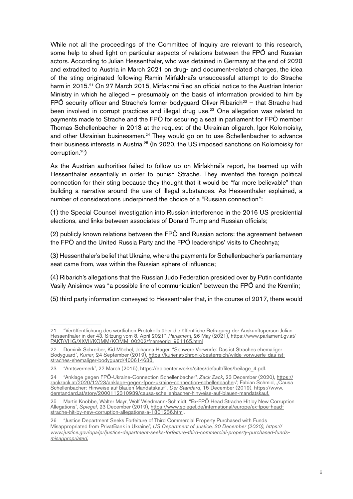While not all the proceedings of the Committee of Inquiry are relevant to this research, some help to shed light on particular aspects of relations between the FPÖ and Russian actors. According to Julian Hessenthaler, who was detained in Germany at the end of 2020 and extradited to Austria in March 2021 on drug- and document-related charges, the idea of the sting originated following Ramin Mirfakhrai's unsuccessful attempt to do Strache harm in 2015.<sup>21</sup> On 27 March 2015, Mirfakhrai filed an official notice to the Austrian Interior Ministry in which he alleged – presumably on the basis of information provided to him by FPÖ security officer and Strache's former bodyguard Oliver Ribarich<sup>22</sup> – that Strache had been involved in corrupt practices and illegal drug use.<sup>23</sup> One allegation was related to payments made to Strache and the FPÖ for securing a seat in parliament for FPÖ member Thomas Schellenbacher in 2013 at the request of the Ukrainian oligarch, Igor Kolomoisky, and other Ukrainian businessmen.<sup>24</sup> They would go on to use Schellenbacher to advance their business interests in Austria.25 (In 2020, the US imposed sanctions on Kolomoisky for corruption.26)

As the Austrian authorities failed to follow up on Mirfakhrai's report, he teamed up with Hessenthaler essentially in order to punish Strache. They invented the foreign political connection for their sting because they thought that it would be "far more believable" than building a narrative around the use of illegal substances. As Hessenthaler explained, a number of considerations underpinned the choice of a "Russian connection":

(1) the Special Counsel investigation into Russian interference in the 2016 US presidential elections, and links between associates of Donald Trump and Russian officials;

(2) publicly known relations between the FPÖ and Russian actors: the agreement between the FPÖ and the United Russia Party and the FPÖ leaderships' visits to Chechnya;

(3) Hessenthaler's belief that Ukraine, where the payments for Schellenbacher's parliamentary seat came from, was within the Russian sphere of influence;

(4) Ribarich's allegations that the Russian Judo Federation presided over by Putin confidante Vasily Anisimov was "a possible line of communication" between the FPÖ and the Kremlin;

(5) third party information conveyed to Hessenthaler that, in the course of 2017, there would

<sup>21 &</sup>quot;Veröffentlichung des wörtlichen Protokolls über die öffentliche Befragung der Auskunftsperson Julian Hessenthaler in der 43. Sitzung vom 8. April 2021", *Parlament*, 26 May (2021), [https://www.parlament.gv.at/](https://www.parlament.gv.at/PAKT/VHG/XXVII/KOMM/KOMM_00202/fnameorig_981165.html) [PAKT/VHG/XXVII/KOMM/KOMM\\_00202/fnameorig\\_981165.html](https://www.parlament.gv.at/PAKT/VHG/XXVII/KOMM/KOMM_00202/fnameorig_981165.html)

<sup>22</sup> Dominik Schreiber, Kid Möchel, Johanna Hager, "Schwere Vorwürfe: Das ist Straches ehemaliger Bodyguard", *Kurier*, 24 September (2019), [https://kurier.at/chronik/oesterreich/wilde-vorwuerfe-das-ist](https://kurier.at/chronik/oesterreich/wilde-vorwuerfe-das-ist-straches-ehemaliger-bodyguard/40061463)[straches-ehemaliger-bodyguard/400614638.](https://kurier.at/chronik/oesterreich/wilde-vorwuerfe-das-ist-straches-ehemaliger-bodyguard/40061463)

<sup>23 &</sup>quot;Amtsvermerk", 27 March (2015), [https://epicenter.works/sites/default/files/beilage\\_4.pdf.](https://epicenter.works/sites/default/files/beilage_4.pdf.)

<sup>24 &</sup>quot;Anklage gegen FPÖ-Ukraine-Connection Schellenbacher", *Zack Zack*, 23 December (2020), [https://](https://zackzack.at/2020/12/23/anklage-gegen-fpoe-ukraine-connection-schellenbache) <u>zackzack.at/2020/12/23/anklage-gegen-fpoe-ukraine-connection-schellenbache</u>r/; Fabian Schmid, "Causa Schellenbacher: Hinweise auf blauen Mandatskauf", *Der Standard*, 15 December (2019), [https://www.](https://www.derstandard.at/story/2000112310939/causa-schellenbacher-hinweise-auf-blauen-mandatskauf.) [derstandard.at/story/2000112310939/causa-schellenbacher-hinweise-auf-blauen-mandatskauf.](https://www.derstandard.at/story/2000112310939/causa-schellenbacher-hinweise-auf-blauen-mandatskauf.)

<sup>25</sup> Martin Knobbe, Walter Mayr, Wolf Wiedmann-Schmidt, "Ex-FPÖ Head Strache Hit by New Corruption Allegations", *Spiegel*, 23 December (2019), [https://www.spiegel.de/international/europe/ex-fpoe-head](https://www.spiegel.de/international/europe/ex-fpoe-head-strache-hit-by-new-corruption-allegations-a)[strache-hit-by-new-corruption-allegations-a-1301236.htm](https://www.spiegel.de/international/europe/ex-fpoe-head-strache-hit-by-new-corruption-allegations-a)l.

<sup>26 &</sup>quot;Justice Department Seeks Forfeiture of Third Commercial Property Purchased with Funds Misappropriated from PrivatBank in Ukraine", *US Department of Justice, 30 December (2020), h[ttps://](ttps://www.justice.gov/opa/pr/justice-department-seeks-forfeiture-third-commercial-property-purchase) [www.justice.gov/opa/pr/justice-department-seeks-forfeiture-third-commercial-property-purchased-funds](ttps://www.justice.gov/opa/pr/justice-department-seeks-forfeiture-third-commercial-property-purchase)[misappropriated.](ttps://www.justice.gov/opa/pr/justice-department-seeks-forfeiture-third-commercial-property-purchase)*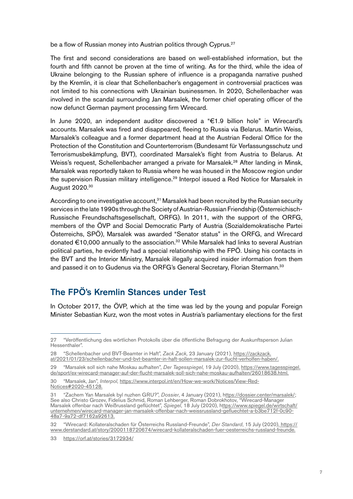be a flow of Russian money into Austrian politics through Cyprus.<sup>27</sup>

The first and second considerations are based on well-established information, but the fourth and fifth cannot be proven at the time of writing. As for the third, while the idea of Ukraine belonging to the Russian sphere of influence is a propaganda narrative pushed by the Kremlin, it is clear that Schellenbacher's engagement in controversial practices was not limited to his connections with Ukrainian businessmen. In 2020, Schellenbacher was involved in the scandal surrounding Jan Marsalek, the former chief operating officer of the now defunct German payment processing firm Wirecard.

In June 2020, an independent auditor discovered a "€1.9 billion hole" in Wirecard's accounts. Marsalek was fired and disappeared, fleeing to Russia via Belarus. Martin Weiss, Marsalek's colleague and a former department head at the Austrian Federal Office for the Protection of the Constitution and Counterterrorism (Bundesamt für Verfassungsschutz und Terrorismusbekämpfung, BVT), coordinated Marsalek's flight from Austria to Belarus. At Weiss's request, Schellenbacher arranged a private for Marsalek.<sup>28</sup> After landing in Minsk, Marsalek was reportedly taken to Russia where he was housed in the Moscow region under the supervision Russian military intelligence.<sup>29</sup> Interpol issued a Red Notice for Marsalek in August 2020.<sup>30</sup>

According to one investigative account, $31$  Marsalek had been recruited by the Russian security services in the late 1990s through the Society of Austrian-Russian Friendship (Österreichisch-Russische Freundschaftsgesellschaft, ORFG). In 2011, with the support of the ORFG, members of the ÖVP and Social Democratic Party of Austria (Sozialdemokratische Partei Österreichs, SPÖ), Marsalek was awarded "Senator status" in the ORFG, and Wirecard donated €10,000 annually to the association.<sup>32</sup> While Marsalek had links to several Austrian political parties, he evidently had a special relationship with the FPÖ. Using his contacts in the BVT and the Interior Ministry, Marsalek illegally acquired insider information from them and passed it on to Gudenus via the ORFG's General Secretary, Florian Stermann.<sup>33</sup>

## The FPÖ's Kremlin Stances under Test

In October 2017, the ÖVP, which at the time was led by the young and popular Foreign Minister Sebastian Kurz, won the most votes in Austria's parliamentary elections for the first

<sup>27 &</sup>quot;Veröffentlichung des wörtlichen Protokolls über die öffentliche Befragung der Auskunftsperson Julian Hessenthaler".

<sup>28 &</sup>quot;Schellenbacher und BVT-Beamter in Haft", *Zack Zack*, 23 January (2021), [https://zackzack.](https://zackzack.at/2021/01/23/schellenbacher-und-bvt-beamter-in-haft-sollen-marsalek-zur-flucht-ver) [at/2021/01/23/schellenbacher-und-bvt-beamter-in-haft-sollen-marsalek-zur-flucht-verholfen-haben/.](https://zackzack.at/2021/01/23/schellenbacher-und-bvt-beamter-in-haft-sollen-marsalek-zur-flucht-ver)

<sup>29 &</sup>quot;Marsalek soll sich nahe Moskau aufhalten", *Der Tagesspiegel*, 19 July (2020), [https://www.tagesspiegel.](https://www.tagesspiegel.de/sport/ex-wirecard-manager-auf-der-flucht-marsalek-soll-sich-nahe-moskau-) [de/sport/ex-wirecard-manager-auf-der-flucht-marsalek-soll-sich-nahe-moskau-aufhalten/26018638.html.](https://www.tagesspiegel.de/sport/ex-wirecard-manager-auf-der-flucht-marsalek-soll-sich-nahe-moskau-)

<sup>30 &</sup>quot;Marsalek, Jan", *Interpol*, [https://www.interpol.int/en/How-we-work/Notices/View-Red-](https://www.interpol.int/en/How-we-work/Notices/View-Red-Notices#2020-45128.)[Notices#2020-45128.](https://www.interpol.int/en/How-we-work/Notices/View-Red-Notices#2020-45128.)

<sup>31 &</sup>quot;Zachem Yan Marsalek byl nuzhen GRU?", *Dossier*, 4 January (2021), [https://dossier.center/marsalek/](ttps://dossier.center/marsalek/); See also Christo Grozev, Fidelius Schmid, Roman Lehberger, Roman Dobrokhotov, "Wirecard-Manager Marsalek offenbar nach Weißrussland geflüchtet", *Spiegel*, 18 July (2020), h[ttps://www.spiegel.de/wirtschaft/](ttps://www.spiegel.de/wirtschaft/unternehmen/wirecard-manager-jan-marsalek-offenbar-nach-weissrussla) [unternehmen/wirecard-manager-jan-marsalek-offenbar-nach-weissrussland-gefluechtet-a-b3be712f-0c90-](ttps://www.spiegel.de/wirtschaft/unternehmen/wirecard-manager-jan-marsalek-offenbar-nach-weissrussla) [48a7-9a72-df7162a92613.](ttps://www.spiegel.de/wirtschaft/unternehmen/wirecard-manager-jan-marsalek-offenbar-nach-weissrussla)

<sup>32 &</sup>quot;Wirecard: Kollateralschaden für Österreichs Russland-Freunde", *Der Standard*, 15 July (2020)[, https://]( https://www.derstandard.at/story/2000118720674/wirecard-kollateralschaden-fuer-oesterreichs-russlan) [www.derstandard.at/story/2000118720674/wirecard-kollateralschaden-fuer-oesterreichs-russland-freunde.]( https://www.derstandard.at/story/2000118720674/wirecard-kollateralschaden-fuer-oesterreichs-russlan)

<sup>33</sup> <https://orf.at/stories/3172934/>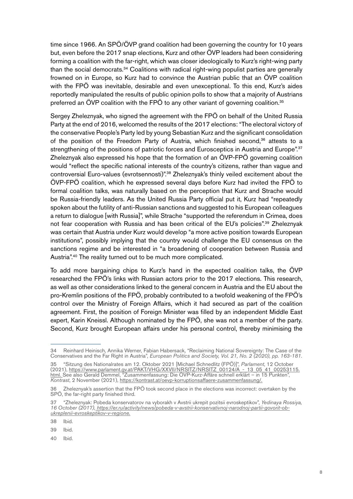time since 1966. An SPÖ/ÖVP grand coalition had been governing the country for 10 years but, even before the 2017 snap elections, Kurz and other ÖVP leaders had been considering forming a coalition with the far-right, which was closer ideologically to Kurz's right-wing party than the social democrats.<sup>34</sup> Coalitions with radical right-wing populist parties are generally frowned on in Europe, so Kurz had to convince the Austrian public that an ÖVP coalition with the FPÖ was inevitable, desirable and even unexceptional. To this end, Kurz's aides reportedly manipulated the results of public opinion polls to show that a majority of Austrians preferred an  $\ddot{\text{O}}$ VP coalition with the FP $\ddot{\text{O}}$  to any other variant of governing coalition.<sup>35</sup>

Sergey Zheleznyak, who signed the agreement with the FPÖ on behalf of the United Russia Party at the end of 2016, welcomed the results of the 2017 elections: "The electoral victory of the conservative People's Party led by young Sebastian Kurz and the significant consolidation of the position of the Freedom Party of Austria, which finished second.<sup>36</sup> attests to a strengthening of the positions of patriotic forces and Eurosceptics in Austria and Europe".<sup>37</sup> Zheleznyak also expressed his hope that the formation of an ÖVP-FPÖ governing coalition would "reflect the specific national interests of the country's citizens, rather than vague and controversial Euro-values (evrotsennosti)".38 Zheleznyak's thinly veiled excitement about the ÖVP-FPÖ coalition, which he expressed several days before Kurz had invited the FPÖ to formal coalition talks, was naturally based on the perception that Kurz and Strache would be Russia-friendly leaders. As the United Russia Party official put it, Kurz had "repeatedly spoken about the futility of anti-Russian sanctions and suggested to his European colleagues a return to dialogue [with Russia]", while Strache "supported the referendum in Crimea, does not fear cooperation with Russia and has been critical of the EU's policies".39 Zheleznyak was certain that Austria under Kurz would develop "a more active position towards European institutions", possibly implying that the country would challenge the EU consensus on the sanctions regime and be interested in "a broadening of cooperation between Russia and Austria".<sup>40</sup> The reality turned out to be much more complicated.

To add more bargaining chips to Kurz's hand in the expected coalition talks, the ÖVP researched the FPÖ's links with Russian actors prior to the 2017 elections. This research, as well as other considerations linked to the general concern in Austria and the EU about the pro-Kremlin positions of the FPÖ, probably contributed to a twofold weakening of the FPÖ's control over the Ministry of Foreign Affairs, which it had secured as part of the coalition agreement. First, the position of Foreign Minister was filled by an independent Middle East expert, Karin Kneissl. Although nominated by the FPÖ, she was not a member of the party. Second, Kurz brought European affairs under his personal control, thereby minimising the

38 Ibid.

39 Ibid.

40 Ibid.

<sup>34</sup> Reinhard Heinisch, Annika Werner, Fabian Habersack, "Reclaiming National Sovereignty: The Case of the Conservatives and the Far Right in Austria", *European Politics and Society, Vol. 21, No. 2 (2020), pp. 163-181.*

<sup>35 &</sup>quot;Sitzung des Nationalrates am 12. Oktober 2021 [Michael Schnedlitz (FPÖ)]", *Parlament*, 12 October (2021), [https://www.parlament.gv.at/PAKT/VHG/XXVII/NRSITZ/NRSITZ\\_00124/A\\_-\\_13\\_05\\_41\\_00253115.](https://www.parlament.gv.at/PAKT/VHG/XXVII/NRSITZ/NRSITZ_00124/A_-_13_05_41_00253115.html. ) [html. S](https://www.parlament.gv.at/PAKT/VHG/XXVII/NRSITZ/NRSITZ_00124/A_-_13_05_41_00253115.html. )ee also Gerald Demmel, "Zusammenfassung: Die ÖVP-Kurz-Affäre schnell erklärt – in 15 Punkten", *Kontrast*, 2 November (2021),<https://kontrast.at/oevp-korruptionsaffaere-zusammenfassung/.>

<sup>36</sup> Zheleznyak's assertion that the FPÖ took second place in the elections was incorrect: overtaken by the SPÖ, the far-right party finished third.

<sup>37 &</sup>quot;Zheleznyak: Pobeda konservatorov na vyborakh v Avstrii ukrepit pozitsii evroskeptikov", *Yedinaya Rossiya, 16 October (2017), [https://er.ru/activity/news/pobeda-v-avstrii-konservativnoj-narodnoj-partii-govorit-ob]( https://er.ru/activity/news/pobeda-v-avstrii-konservativnoj-narodnoj-partii-govorit-ob-ukreplenii-e)[ukreplenii-evroskeptikov-v-regione.]( https://er.ru/activity/news/pobeda-v-avstrii-konservativnoj-narodnoj-partii-govorit-ob-ukreplenii-e)*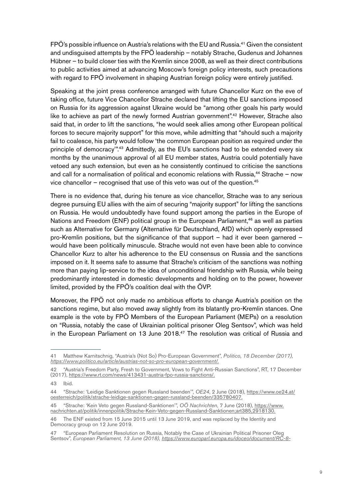FPÖ's possible influence on Austria's relations with the EU and Russia.41 Given the consistent and undisguised attempts by the FPÖ leadership – notably Strache, Gudenus and Johannes Hübner – to build closer ties with the Kremlin since 2008, as well as their direct contributions to public activities aimed at advancing Moscow's foreign policy interests, such precautions with regard to FPÖ involvement in shaping Austrian foreign policy were entirely justified.

Speaking at the joint press conference arranged with future Chancellor Kurz on the eve of taking office, future Vice Chancellor Strache declared that lifting the EU sanctions imposed on Russia for its aggression against Ukraine would be "among other goals his party would like to achieve as part of the newly formed Austrian government".<sup>42</sup> However, Strache also said that, in order to lift the sanctions, "he would seek allies among other European political forces to secure majority support" for this move, while admitting that "should such a majority fail to coalesce, his party would follow 'the common European position as required under the principle of democracy".<sup>43</sup> Admittedly, as the EU's sanctions had to be extended every six months by the unanimous approval of all EU member states, Austria could potentially have vetoed any such extension, but even as he consistently continued to criticise the sanctions and call for a normalisation of political and economic relations with Russia, $44$  Strache – now vice chancellor – recognised that use of this veto was out of the question. $45$ 

There is no evidence that, during his tenure as vice chancellor, Strache was to any serious degree pursuing EU allies with the aim of securing "majority support" for lifting the sanctions on Russia. He would undoubtedly have found support among the parties in the Europe of Nations and Freedom (ENF) political group in the European Parliament,<sup>46</sup> as well as parties such as Alternative for Germany (Alternative für Deutschland, AfD) which openly expressed pro-Kremlin positions, but the significance of that support – had it ever been garnered – would have been politically minuscule. Strache would not even have been able to convince Chancellor Kurz to alter his adherence to the EU consensus on Russia and the sanctions imposed on it. It seems safe to assume that Strache's criticism of the sanctions was nothing more than paying lip-service to the idea of unconditional friendship with Russia, while being predominantly interested in domestic developments and holding on to the power, however limited, provided by the FPÖ's coalition deal with the ÖVP.

Moreover, the FPÖ not only made no ambitious efforts to change Austria's position on the sanctions regime, but also moved away slightly from its blatantly pro-Kremlin stances. One example is the vote by FPÖ Members of the European Parliament (MEPs) on a resolution on "Russia, notably the case of Ukrainian political prisoner Oleg Sentsov", which was held in the European Parliament on 13 June 2018.<sup>47</sup> The resolution was critical of Russia and

<sup>41</sup> Matthew Karnitschnig, "Austria's (Not So) Pro-European Government", *Politico, 18 December (2017), <https://www.politico.eu/article/austrias-not-so-pro-european-government/.>*

<sup>42 &</sup>quot;Austria's Freedom Party, Fresh to Government, Vows to Fight Anti-Russian Sanctions", RT, 17 December (2017),<https://www.rt.com/news/413431-austria-fpo-russia-sanctions/.>

<sup>43</sup> Ibid.

<sup>44 &</sup>quot;Strache: 'Leidige Sanktionen gegen Russland beenden'", *OE24*, 2 June (2018), [https://www.oe24.at/](https://www.oe24.at/oesterreich/politik/strache-leidige-sanktionen-gegen-russland-beenden/335780407.) [oesterreich/politik/strache-leidige-sanktionen-gegen-russland-beenden/335780407.](https://www.oe24.at/oesterreich/politik/strache-leidige-sanktionen-gegen-russland-beenden/335780407.)

<sup>45 &</sup>quot;Strache: 'Kein Veto gegen Russland-Sanktionen'", *OÖ Nachrichten*, 7 June (2018), [https://www.](https://www.nachrichten.at/politik/innenpolitik/Strache-Kein-Veto-gegen-Russland-Sanktionen;art385,2) [nachrichten.at/politik/innenpolitik/Strache-Kein-Veto-gegen-Russland-Sanktionen;art385,2918130.](https://www.nachrichten.at/politik/innenpolitik/Strache-Kein-Veto-gegen-Russland-Sanktionen;art385,2)

<sup>46</sup> The ENF existed from 15 June 2015 until 13 June 2019, and was replaced by the Identity and Democracy group on 12 June 2019.

<sup>47 &</sup>quot;European Parliament Resolution on Russia, Notably the Case of Ukrainian Political Prisoner Oleg Sentsov", *European Parliament, 13 June (2018), [https://www.europarl.europa.eu/doceo/document/RC-8-](https://www.europarl.europa.eu/doceo/document/RC-8-2018-0288_EN.html.)*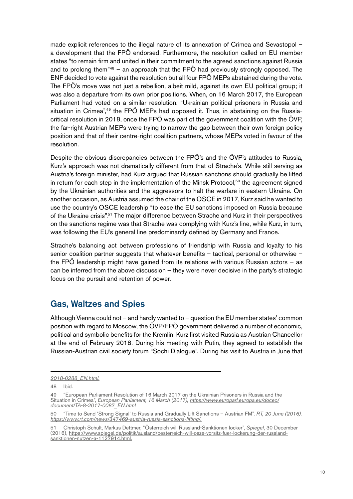made explicit references to the illegal nature of its annexation of Crimea and Sevastopol – a development that the FPÖ endorsed. Furthermore, the resolution called on EU member states "to remain firm and united in their commitment to the agreed sanctions against Russia and to prolong them<sup> $n48$ </sup> – an approach that the FPÖ had previously strongly opposed. The ENF decided to vote against the resolution but all four FPÖ MEPs abstained during the vote. The FPÖ's move was not just a rebellion, albeit mild, against its own EU political group; it was also a departure from its own prior positions. When, on 16 March 2017, the European Parliament had voted on a similar resolution, "Ukrainian political prisoners in Russia and situation in Crimea",<sup>49</sup> the FPÖ MEPs had opposed it. Thus, in abstaining on the Russiacritical resolution in 2018, once the FPÖ was part of the government coalition with the ÖVP, the far-right Austrian MEPs were trying to narrow the gap between their own foreign policy position and that of their centre-right coalition partners, whose MEPs voted in favour of the resolution.

Despite the obvious discrepancies between the FPÖ's and the ÖVP's attitudes to Russia, Kurz's approach was not dramatically different from that of Strache's. While still serving as Austria's foreign minister, had Kurz argued that Russian sanctions should gradually be lifted in return for each step in the implementation of the Minsk Protocol,<sup>50</sup> the agreement signed by the Ukrainian authorities and the aggressors to halt the warfare in eastern Ukraine. On another occasion, as Austria assumed the chair of the OSCE in 2017, Kurz said he wanted to use the country's OSCE leadership "to ease the EU sanctions imposed on Russia because of the Ukraine crisis".51 The major difference between Strache and Kurz in their perspectives on the sanctions regime was that Strache was complying with Kurz's line, while Kurz, in turn, was following the EU's general line predominantly defined by Germany and France.

Strache's balancing act between professions of friendship with Russia and loyalty to his senior coalition partner suggests that whatever benefits – tactical, personal or otherwise – the FPÖ leadership might have gained from its relations with various Russian actors – as can be inferred from the above discussion – they were never decisive in the party's strategic focus on the pursuit and retention of power.

## Gas, Waltzes and Spies

Although Vienna could not – and hardly wanted to – question the EU member states' common position with regard to Moscow, the ÖVP/FPÖ government delivered a number of economic, political and symbolic benefits for the Kremlin. Kurz first visited Russia as Austrian Chancellor at the end of February 2018. During his meeting with Putin, they agreed to establish the Russian-Austrian civil society forum "Sochi Dialogue". During his visit to Austria in June that

*[<sup>2018-0288</sup>\\_EN.html.](https://www.europarl.europa.eu/doceo/document/RC-8-2018-0288_EN.html.)*

<sup>48</sup> Ibid.

<sup>49 &</sup>quot;European Parliament Resolution of 16 March 2017 on the Ukrainian Prisoners in Russia and the Situation in Crimea", *European Parliament, 16 March (2017), [https://www.europarl.europa.eu/doceo/](https://www.europarl.europa.eu/doceo/document/TA-8-2017-0087_EN.html) [document/TA-8-2017-0087\\_EN.html](https://www.europarl.europa.eu/doceo/document/TA-8-2017-0087_EN.html)*

<sup>50 &</sup>quot;Time to Send 'Strong Signal' to Russia and Gradually Lift Sanctions – Austrian FM", *RT, 20 June (2016), <https://www.rt.com/news/347469-austria-russia-sanctions-lifting/.>*

<sup>51</sup> Christoph Schult, Markus Dettmer, "Österreich will Russland-Sanktionen locker", *Spiegel*, 30 December (2016), [https://www.spiegel.de/politik/ausland/oesterreich-will-osze-vorsitz-fuer-lockerung-der-russland](https://www.spiegel.de/politik/ausland/oesterreich-will-osze-vorsitz-fuer-lockerung-der-russland-san)[sanktionen-nutzen-a-1127914.html.](https://www.spiegel.de/politik/ausland/oesterreich-will-osze-vorsitz-fuer-lockerung-der-russland-san)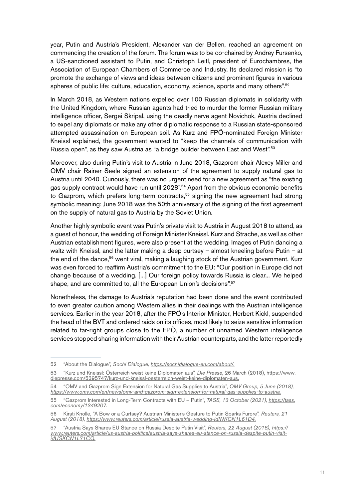year, Putin and Austria's President, Alexander van der Bellen, reached an agreement on commencing the creation of the forum. The forum was to be co-chaired by Andrey Fursenko, a US-sanctioned assistant to Putin, and Christoph Leitl, president of Eurochambres, the Association of European Chambers of Commerce and Industry. Its declared mission is "to promote the exchange of views and ideas between citizens and prominent figures in various spheres of public life: culture, education, economy, science, sports and many others".<sup>52</sup>

In March 2018, as Western nations expelled over 100 Russian diplomats in solidarity with the United Kingdom, where Russian agents had tried to murder the former Russian military intelligence officer, Sergei Skripal, using the deadly nerve agent Novichok, Austria declined to expel any diplomats or make any other diplomatic response to a Russian state-sponsored attempted assassination on European soil. As Kurz and FPÖ-nominated Foreign Minister Kneissl explained, the government wanted to "keep the channels of communication with Russia open", as they saw Austria as "a bridge builder between East and West".<sup>53</sup>

Moreover, also during Putin's visit to Austria in June 2018, Gazprom chair Alexey Miller and OMV chair Rainer Seele signed an extension of the agreement to supply natural gas to Austria until 2040. Curiously, there was no urgent need for a new agreement as "the existing gas supply contract would have run until 2028".<sup>54</sup> Apart from the obvious economic benefits to Gazprom, which prefers long-term contracts,<sup>55</sup> signing the new agreement had strong symbolic meaning: June 2018 was the 50th anniversary of the signing of the first agreement on the supply of natural gas to Austria by the Soviet Union.

Another highly symbolic event was Putin's private visit to Austria in August 2018 to attend, as a guest of honour, the wedding of Foreign Minister Kneissl. Kurz and Strache, as well as other Austrian establishment figures, were also present at the wedding. Images of Putin dancing a waltz with Kneissl, and the latter making a deep curtsey – almost kneeling before Putin – at the end of the dance,<sup>56</sup> went viral, making a laughing stock of the Austrian government. Kurz was even forced to reaffirm Austria's commitment to the EU: "Our position in Europe did not change because of a wedding. [...] Our foreign policy towards Russia is clear... We helped shape, and are committed to, all the European Union's decisions".<sup>57</sup>

Nonetheless, the damage to Austria's reputation had been done and the event contributed to even greater caution among Western allies in their dealings with the Austrian intelligence services. Earlier in the year 2018, after the FPÖ's Interior Minister, Herbert Kickl, suspended the head of the BVT and ordered raids on its offices, most likely to seize sensitive information related to far-right groups close to the FPÖ, a number of unnamed Western intelligence services stopped sharing information with their Austrian counterparts, and the latter reportedly

<sup>52 &</sup>quot;About the Dialogue", *Sochi Dialogue,<https://sochidialogue-en.com/about/.>*

<sup>53 &</sup>quot;Kurz und Kneissl: Österreich weist keine Diplomaten aus", *Die Presse*, 26 March (2018), [https://www.](https://www.diepresse.com/5395747/kurz-und-kneissl-oesterreich-weist-keine-diplomaten-aus.) [diepresse.com/5395747/kurz-und-kneissl-oesterreich-weist-keine-diplomaten-aus.](https://www.diepresse.com/5395747/kurz-und-kneissl-oesterreich-weist-keine-diplomaten-aus.)

<sup>54 &</sup>quot;OMV and Gazprom Sign Extension for Natural Gas Supplies to Austria", *OMV Group, 5 June (2018), <https://www.omv.com/en/news/omv-and-gazprom-sign-extension-for-natural-gas-supplies-to-austria.>*

<sup>55 &</sup>quot;Gazprom Interested in Long-Term Contracts with EU – Putin", *TASS, 13 October (2021), [https://tass.](https://tass.com/economy/1349207.) [com/economy/1349207.](https://tass.com/economy/1349207.)*

<sup>56</sup> Kirsti Knolle, "A Bow or a Curtsey? Austrian Minister's Gesture to Putin Sparks Furore", *Reuters, 21 August (2018),<https://www.reuters.com/article/russia-austria-wedding-idINKCN1L61D4.>*

<sup>57 &</sup>quot;Austria Says Shares EU Stance on Russia Despite Putin Visit", *Reuters, 22 August (2018), [https://](https://www.reuters.com/article/us-austria-politics/austria-says-shares-eu-stance-on-russia-despite-) [www.reuters.com/article/us-austria-politics/austria-says-shares-eu-stance-on-russia-despite-putin-visit](https://www.reuters.com/article/us-austria-politics/austria-says-shares-eu-stance-on-russia-despite-)[idUSKCN1L71CQ.](https://www.reuters.com/article/us-austria-politics/austria-says-shares-eu-stance-on-russia-despite-)*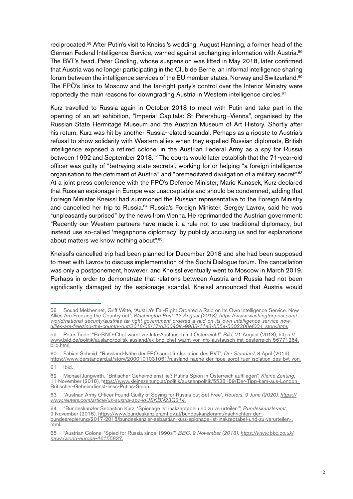reciprocated.<sup>58</sup> After Putin's visit to Kneissl's wedding, August Hanning, a former head of the German Federal Intelligence Service, warned against exchanging information with Austria.<sup>59</sup> The BVT's head, Peter Gridling, whose suspension was lifted in May 2018, later confirmed that Austria was no longer participating in the Club de Berne, an informal intelligence sharing forum between the intelligence services of the EU member states, Norway and Switzerland.<sup>60</sup> The FPÖ's links to Moscow and the far-right party's control over the Interior Ministry were reportedly the main reasons for downgrading Austria in Western intelligence circles.<sup>61</sup>

Kurz travelled to Russia again in October 2018 to meet with Putin and take part in the opening of an art exhibition, "Imperial Capitals: St Petersburg–Vienna", organised by the Russian State Hermitage Museum and the Austrian Museum of Art History. Shortly after his return, Kurz was hit by another Russia-related scandal. Perhaps as a riposte to Austria's refusal to show solidarity with Western allies when they expelled Russian diplomats, British intelligence exposed a retired colonel in the Austrian Federal Army as a spy for Russia between 1992 and September 2018.<sup>62</sup> The courts would later establish that the 71-year-old officer was guilty of "betraying state secrets", working for or helping "a foreign intelligence organisation to the detriment of Austria" and "premeditated divulgation of a military secret".<sup>63</sup> At a joint press conference with the FPÖ's Defence Minister, Mario Kunasek, Kurz declared that Russian espionage in Europe was unacceptable and should be condemned, adding that Foreign Minister Kneissl had summoned the Russian representative to the Foreign Ministry and cancelled her trip to Russia.<sup>64</sup> Russia's Foreign Minister, Sergey Lavrov, said he was "unpleasantly surprised" by the news from Vienna. He reprimanded the Austrian government: "Recently our Western partners have made it a rule not to use traditional diplomacy, but instead use so-called 'megaphone diplomacy' by publicly accusing us and for explanations about matters we know nothing about".65

Kneissl's cancelled trip had been planned for December 2018 and she had been supposed to meet with Lavrov to discuss implementation of the Sochi Dialogue forum. The cancellation was only a postponement, however, and Kneissl eventually went to Moscow in March 2019. Perhaps in order to demonstrate that relations between Austria and Russia had not been significantly damaged by the espionage scandal, Kneissl announced that Austria would

<sup>58</sup> Souad Mekhennet, Griff Witte, "Austria's Far-Right Ordered a Raid on Its Own Intelligence Service. Now Allies Are Freezing the Country out", *Washington Post, 17 August (2018), [https://www.washingtonpost.com/](https://www.washingtonpost.com/world/national-security/austrias-far-right-government-ordered-a-raid-) [world/national-security/austrias-far-right-government-ordered-a-raid-on-its-own-intelligence-service-now](https://www.washingtonpost.com/world/national-security/austrias-far-right-government-ordered-a-raid-)[allies-are-freezing-the-country-out/2018/08/17/d20090fc-9985-11e8-b55e-5002300ef004\\_story.html.](https://www.washingtonpost.com/world/national-security/austrias-far-right-government-ordered-a-raid-)*

<sup>59</sup> Peter Tiede, "Ex-BND-Chef warnt vor Info-Austausch mit Österreich!", *Bild*, 21 August (2018), [https://]( https://www.bild.de/politik/ausland/politik-ausland/ex-bnd-chef-warnt-vor-info-austausch-mit-oester) [www.bild.de/politik/ausland/politik-ausland/ex-bnd-chef-warnt-vor-info-austausch-mit-oesterreich-56771264.]( https://www.bild.de/politik/ausland/politik-ausland/ex-bnd-chef-warnt-vor-info-austausch-mit-oester) [bild.html.]( https://www.bild.de/politik/ausland/politik-ausland/ex-bnd-chef-warnt-vor-info-austausch-mit-oester)

<sup>60</sup> Fabian Schmid, "Russland-Nähe der FPÖ sorgt für Isolation des BVT", *Der Standard*, 8 April (2019), [https://www.derstandard.at/story/2000101031061/russland-naehe-der-fpoe-sorgt-fuer-isolation-des-bvt-von.](https://www.derstandard.at/story/2000101031061/russland-naehe-der-fpoe-sorgt-fuer-isolation-des-bvt-)

<sup>61</sup> Ibid.

<sup>62</sup> Michael Jungwirth, "Britischer Geheimdienst ließ Putins Spion in Österreich auffliegen", *Kleine Zeitung*, 11 November (2018), h[ttps://www.kleinezeitung.at/politik/aussenpolitik/5528189/Der-Tipp-kam-aus-London\\_](ttps://www.kleinezeitung.at/politik/aussenpolitik/5528189/Der-Tipp-kam-aus-London_Britischer-Geheimd) [Britischer-Geheimdienst-liess-Putins-Spion.](ttps://www.kleinezeitung.at/politik/aussenpolitik/5528189/Der-Tipp-kam-aus-London_Britischer-Geheimd)

<sup>63 &</sup>quot;Austrian Army Officer Found Guilty of Spying for Russia but Set Free", *Reuters, 9 June (2020), [https://](https://www.reuters.com/article/us-austria-spy-idUSKBN23G314.) [www.reuters.com/article/us-austria-spy-idUSKBN23G314.](https://www.reuters.com/article/us-austria-spy-idUSKBN23G314.)*

<sup>64 &</sup>quot;Bundeskanzler Sebastian Kurz: 'Spionage ist inakzeptabel und zu verurteilen'", *Bundeskanzleramt*, 9 November (2018), [https://www.bundeskanzleramt.gv.at/bundeskanzleramt/nachrichten-der](https://www.bundeskanzleramt.gv.at/bundeskanzleramt/nachrichten-der-bundesregierung/2017-2018/bundes)[bundesregierung/2017-2018/bundeskanzler-sebastian-kurz-spionage-ist-inakzeptabel-und-zu-verurteilen-.](https://www.bundeskanzleramt.gv.at/bundeskanzleramt/nachrichten-der-bundesregierung/2017-2018/bundes) [html.](https://www.bundeskanzleramt.gv.at/bundeskanzleramt/nachrichten-der-bundesregierung/2017-2018/bundes)

<sup>65 &</sup>quot;Austrian Colonel 'Spied for Russia since 1990s'", *BBC, 9 November (2018), [https://www.bbc.co.uk/](https://www.bbc.co.uk/news/world-europe-46155837.) [news/world-europe-46155837.](https://www.bbc.co.uk/news/world-europe-46155837.)*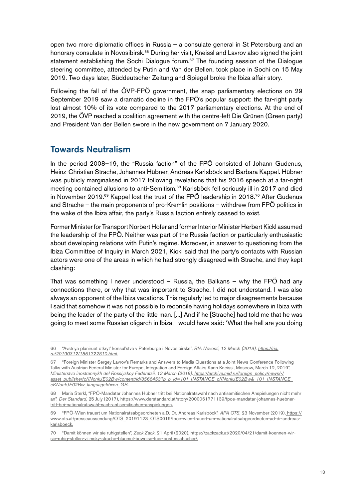open two more diplomatic offices in Russia – a consulate general in St Petersburg and an honorary consulate in Novosibirsk.66 During her visit, Kneissl and Lavrov also signed the joint statement establishing the Sochi Dialogue forum.<sup>67</sup> The founding session of the Dialogue steering committee, attended by Putin and Van der Bellen, took place in Sochi on 15 May 2019. Two days later, Süddeutscher Zeitung and Spiegel broke the Ibiza affair story.

Following the fall of the ÖVP-FPÖ government, the snap parliamentary elections on 29 September 2019 saw a dramatic decline in the FPÖ's popular support: the far-right party lost almost 10% of its vote compared to the 2017 parliamentary elections. At the end of 2019, the ÖVP reached a coalition agreement with the centre-left Die Grünen (Green party) and President Van der Bellen swore in the new government on 7 January 2020.

### Towards Neutralism

In the period 2008–19, the "Russia faction" of the FPÖ consisted of Johann Gudenus, Heinz-Christian Strache, Johannes Hübner, Andreas Karlsböck and Barbara Kappel. Hübner was publicly marginalised in 2017 following revelations that his 2016 speech at a far-right meeting contained allusions to anti-Semitism.<sup>68</sup> Karlsböck fell seriously ill in 2017 and died in November 2019.<sup>69</sup> Kappel lost the trust of the FPÖ leadership in 2018.<sup>70</sup> After Gudenus and Strache – the main proponents of pro-Kremlin positions – withdrew from FPÖ politics in the wake of the Ibiza affair, the party's Russia faction entirely ceased to exist.

Former Minister for Transport Norbert Hofer and former Interior Minister Herbert Kickl assumed the leadership of the FPÖ. Neither was part of the Russia faction or particularly enthusiastic about developing relations with Putin's regime. Moreover, in answer to questioning from the Ibiza Committee of Inquiry in March 2021, Kickl said that the party's contacts with Russian actors were one of the areas in which he had strongly disagreed with Strache, and they kept clashing:

That was something I never understood – Russia, the Balkans – why the FPÖ had any connections there, or why that was important to Strache. I did not understand. I was also always an opponent of the Ibiza vacations. This regularly led to major disagreements because I said that somehow it was not possible to reconcile having holidays somewhere in Ibiza with being the leader of the party of the little man. [...] And if he [Strache] had told me that he was going to meet some Russian oligarch in Ibiza, I would have said: 'What the hell are you doing

<sup>66 &</sup>quot;Avstriya planiruet otkryt' konsul'stva v Peterburge i Novosibirske", *RIA Novosti, 12 March (2019), [https://ria.](https://ria.ru/20190312/1551722810.html.) [ru/20190312/1551722810.html.](https://ria.ru/20190312/1551722810.html.)*

<sup>67 &</sup>quot;Foreign Minister Sergey Lavrov's Remarks and Answers to Media Questions at a Joint News Conference Following Talks with Austrian Federal Minister for Europe, Integration and Foreign Affairs Karin Kneissl, Moscow, March 12, 2019", *Ministerstvo inostrannykh del Rossiyskoy Federatsii, 12 March (2019), [https://archive.mid.ru/foreign\\_policy/news/-/]( https://archive.mid.ru/foreign_policy/news/-/asset_publisher/cKNonkJE02Bw/content/id/3566453?p_p_id) [asset\\_publisher/cKNonkJE02Bw/content/id/3566453?p\\_p\\_id=101\\_INSTANCE\\_cKNonkJE02Bw&\\_101\\_INSTANCE\\_]( https://archive.mid.ru/foreign_policy/news/-/asset_publisher/cKNonkJE02Bw/content/id/3566453?p_p_id) [cKNonkJE02Bw\\_languageId=en\\_GB.]( https://archive.mid.ru/foreign_policy/news/-/asset_publisher/cKNonkJE02Bw/content/id/3566453?p_p_id)*

<sup>68</sup> Maria Sterkl, "FPÖ-Mandatar Johannes Hübner tritt bei Nationalratswahl nach antisemitischen Anspielungen nicht mehr an", *Der Standard*, 25 July (2017), [https://www.derstandard.at/story/2000061771139/fpoe-mandatar-johannes-huebner](https://www.derstandard.at/story/2000061771139/fpoe-mandatar-johannes-huebner-tritt-bei-nationalrats)[tritt-bei-nationalratswahl-nach-antisemitischen-anspielungen.](https://www.derstandard.at/story/2000061771139/fpoe-mandatar-johannes-huebner-tritt-bei-nationalrats)

<sup>69 &</sup>quot;FPÖ-Wien trauert um Nationalratsabgeordneten a.D. Dr. Andreas Karlsböck", *APA OTS*, 23 November (2019)[, https://]( https://www.ots.at/presseaussendung/OTS_20191123_OTS0019/fpoe-wien-trauert-um-nationalratsabgeordne) [www.ots.at/presseaussendung/OTS\\_20191123\\_OTS0019/fpoe-wien-trauert-um-nationalratsabgeordneten-ad-dr-andreas]( https://www.ots.at/presseaussendung/OTS_20191123_OTS0019/fpoe-wien-trauert-um-nationalratsabgeordne)[karlsboeck.]( https://www.ots.at/presseaussendung/OTS_20191123_OTS0019/fpoe-wien-trauert-um-nationalratsabgeordne)

<sup>70 &</sup>quot;Damit können wir sie ruhigstellen", *Zack Zack*, 21 April (2020), [https://zackzack.at/2020/04/21/damit-koennen-wir](https://zackzack.at/2020/04/21/damit-koennen-wir-sie-ruhig-stellen-vilimsky-strache-bluemel-beweise-)[sie-ruhig-stellen-vilimsky-strache-bluemel-beweise-fuer-postenschacher/.](https://zackzack.at/2020/04/21/damit-koennen-wir-sie-ruhig-stellen-vilimsky-strache-bluemel-beweise-)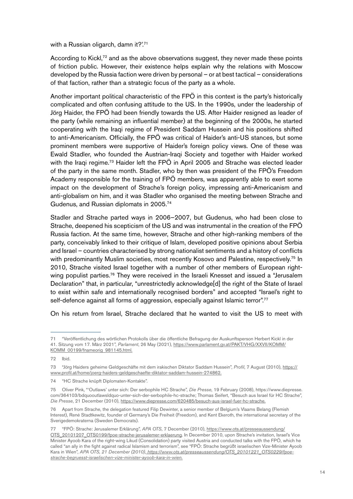with a Russian oligarch, damn it?'.<sup>71</sup>

According to Kickl,<sup>72</sup> and as the above observations suggest, they never made these points of friction public. However, their existence helps explain why the relations with Moscow developed by the Russia faction were driven by personal – or at best tactical – considerations of that faction, rather than a strategic focus of the party as a whole.

Another important political characteristic of the FPÖ in this context is the party's historically complicated and often confusing attitude to the US. In the 1990s, under the leadership of Jörg Haider, the FPÖ had been friendly towards the US. After Haider resigned as leader of the party (while remaining an influential member) at the beginning of the 2000s, he started cooperating with the Iraqi regime of President Saddam Hussein and his positions shifted to anti-Americanism. Officially, the FPÖ was critical of Haider's anti-US stances, but some prominent members were supportive of Haider's foreign policy views. One of these was Ewald Stadler, who founded the Austrian-Iraqi Society and together with Haider worked with the Iraqi regime.<sup>73</sup> Haider left the FPÖ in April 2005 and Strache was elected leader of the party in the same month. Stadler, who by then was president of the FPÖ's Freedom Academy responsible for the training of FPÖ members, was apparently able to exert some impact on the development of Strache's foreign policy, impressing anti-Americanism and anti-globalism on him, and it was Stadler who organised the meeting between Strache and Gudenus, and Russian diplomats in 2005.74

Stadler and Strache parted ways in 2006–2007, but Gudenus, who had been close to Strache, deepened his scepticism of the US and was instrumental in the creation of the FPÖ Russia faction. At the same time, however, Strache and other high-ranking members of the party, conceivably linked to their critique of Islam, developed positive opinions about Serbia and Israel – countries characterised by strong nationalist sentiments and a history of conflicts with predominantly Muslim societies, most recently Kosovo and Palestine, respectively.<sup>75</sup> In 2010, Strache visited Israel together with a number of other members of European rightwing populist parties.<sup>76</sup> They were received in the Israeli Knesset and issued a "Jerusalem Declaration" that, in particular, "unrestrictedly acknowledge<sup>[d]</sup> the right of the State of Israel to exist within safe and internationally recognised borders" and accepted "Israel's right to self-defence against all forms of aggression, especially against Islamic terror".<sup>77</sup>

On his return from Israel, Strache declared that he wanted to visit the US to meet with

<sup>71 &</sup>quot;Veröffentlichung des wörtlichen Protokolls über die öffentliche Befragung der Auskunftsperson Herbert Kickl in der 41. Sitzung vom 17. März 2021", *Parlament*, 26 May (2021), [https://www.parlament.gv.at/PAKT/VHG/XXVII/KOMM/](https://www.parlament.gv.at/PAKT/VHG/XXVII/KOMM/KOMM_00199/fnameorig_981145.html.) [KOMM\\_00199/fnameorig\\_981145.html.](https://www.parlament.gv.at/PAKT/VHG/XXVII/KOMM/KOMM_00199/fnameorig_981145.html.)

<sup>72</sup> Ibid.

<sup>73 &</sup>quot;Jörg Haiders geheime Geldgeschäfte mit dem irakischen Diktator Saddam Hussein", *Profil*, 7 August (2010), [https://](https://www.profil.at/home/joerg-haiders-geldgeschaefte-diktator-saddam-hussein-274862.) [www.profil.at/home/joerg-haiders-geldgeschaefte-diktator-saddam-hussein-274862.](https://www.profil.at/home/joerg-haiders-geldgeschaefte-diktator-saddam-hussein-274862.)

<sup>74 &</sup>quot;HC Strache knüpft Diplomaten-Kontakte".

<sup>75</sup> Oliver Pink, "'Outlaws' unter sich: Der serbophile HC Strache", *Die Presse*, 19 February (2008), https://www.diepresse. com/364103/bdquooutlawsldquo-unter-sich-der-serbophile-hc-strache; Thomas Seifert, "Besuch aus Israel für HC Strache", *Die Presse*, 21 December (2010), <https://www.diepresse.com/620485/besuch-aus-israel-fuer-hc-strache.>

<sup>76</sup> Apart from Strache, the delegation featured Filip Dewinter, a senior member of Belgium's Vlaams Belang (Flemish Interest), René Stadtkewitz, founder of Germany's Die Freiheit (Freedom), and Kent Ekeroth, the international secretary of the Sverigedemokraterna (Sweden Democrats).

<sup>77 &</sup>quot;FPÖ: Strache: Jerusalemer Erklärung", *APA OTS*, 7 December (2010), [https://www.ots.at/presseaussendung/](https://www.ots.at/presseaussendung/OTS_20101207_OTS0199/fpoe-strache-jerusalemer-erklaerung) [OTS\\_20101207\\_OTS0199/fpoe-strache-jerusalemer-erklaerung.](https://www.ots.at/presseaussendung/OTS_20101207_OTS0199/fpoe-strache-jerusalemer-erklaerung) In December 2010, upon Strache's invitation, Israel's Vice Minister Ayoob Kara of the right-wing Likud (Consolidation) party visited Austria and conducted talks with the FPÖ, which he called "an ally in the fight against radical Islamism and terrorism", see "FPÖ: Strache begrüßt israelischen Vize-Minister Ayoob Kara in Wien", *APA OTS, 21 December (2010), [https://www.ots.at/presseaussendung/OTS\\_20101221\\_OTS0229/fpoe]( https://www.ots.at/presseaussendung/OTS_20101221_OTS0229/fpoe-strache-begruesst-israelischen-vize-m)[strache-begruesst-israelischen-vize-minister-ayoob-kara-in-wien.]( https://www.ots.at/presseaussendung/OTS_20101221_OTS0229/fpoe-strache-begruesst-israelischen-vize-m)*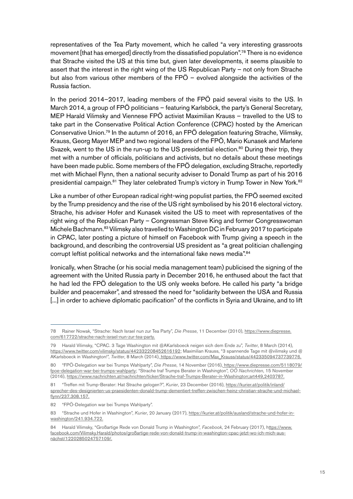representatives of the Tea Party movement, which he called "a very interesting grassroots movement [that has emerged] directly from the dissatisfied population".<sup>78</sup> There is no evidence that Strache visited the US at this time but, given later developments, it seems plausible to assert that the interest in the right wing of the US Republican Party – not only from Strache but also from various other members of the FPÖ – evolved alongside the activities of the Russia faction.

In the period 2014–2017, leading members of the FPÖ paid several visits to the US. In March 2014, a group of FPÖ politicians – featuring Karlsböck, the party's General Secretary, MEP Harald Vilimsky and Viennese FPÖ activist Maximilian Krauss – travelled to the US to take part in the Conservative Political Action Conference (CPAC) hosted by the American Conservative Union.79 In the autumn of 2016, an FPÖ delegation featuring Strache, Vilimsky, Krauss, Georg Mayer MEP and two regional leaders of the FPÖ, Mario Kunasek and Marlene Svazek, went to the US in the run-up to the US presidential election.<sup>80</sup> During their trip, they met with a number of officials, politicians and activists, but no details about these meetings have been made public. Some members of the FPÖ delegation, excluding Strache, reportedly met with Michael Flynn, then a national security adviser to Donald Trump as part of his 2016 presidential campaign.<sup>81</sup> They later celebrated Trump's victory in Trump Tower in New York.<sup>82</sup>

Like a number of other European radical right-wing populist parties, the FPÖ seemed excited by the Trump presidency and the rise of the US right symbolised by his 2016 electoral victory. Strache, his adviser Hofer and Kunasek visited the US to meet with representatives of the right wing of the Republican Party – Congressman Steve King and former Congresswoman Michele Bachmann.<sup>83</sup> Vilimsky also travelled to Washington DC in February 2017 to participate in CPAC, later posting a picture of himself on Facebook with Trump giving a speech in the background, and describing the controversial US president as "a great politician challenging corrupt leftist political networks and the international fake news media".<sup>84</sup>

Ironically, when Strache (or his social media management team) publicised the signing of the agreement with the United Russia party in December 2016, he enthused about the fact that he had led the FPÖ delegation to the US only weeks before. He called his party "a bridge builder and peacemaker", and stressed the need for "solidarity between the USA and Russia [...] in order to achieve diplomatic pacification" of the conflicts in Syria and Ukraine, and to lift

<sup>78</sup> Rainer Nowak, "Strache: Nach Israel nun zur Tea Party", *Die Presse*, 11 December (2010), [https://www.diepresse.](https://www.diepresse.com/617722/strache-nach-israel-nun-zur-tea-party.) [com/617722/strache-nach-israel-nun-zur-tea-party.](https://www.diepresse.com/617722/strache-nach-israel-nun-zur-tea-party.)

<sup>79</sup> Harald Vilimsky, "CPAC. 3 Tage Washington mit @AKarlsboeck neigen sich dem Ende zu", *Twitter*, 8 March (2014), <https://www.twitter.com/vilimsky/status/442332208452616192>; Maximilian Krauss, "3 spannende Tage mit @vilimsky und @ AKarlsboeck in Washington!", *Twitter*, 8 March (2014)[, https://www.twitter.com/Max\\_Krauss/status/442335094737739776]( https://www.twitter.com/Max_Krauss/status/442335094737739776.).

<sup>80 &</sup>quot;FPÖ-Delegation war bei Trumps Wahlparty", *Die Presse*, 14 November (2016), [https://www.diepresse.com/5118079/]( https://www.diepresse.com/5118079/fpoe-delegation-war-bei-trumps-wahlparty) [fpoe-delegation-war-bei-trumps-wahlparty]( https://www.diepresse.com/5118079/fpoe-delegation-war-bei-trumps-wahlparty); "Strache traf Trumps Berater in Washington", *OÖ Nachrichten*, 15 November (2016), [https://www.nachrichten.at/nachrichten/ticker/Strache-traf-Trumps-Berater-in-Washington;art449,2403787.](https://www.nachrichten.at/nachrichten/ticker/Strache-traf-Trumps-Berater-in-Washington;art449,24037)

<sup>81 &</sup>quot;Treffen mit Trump-Berater: Hat Strache gelogen?", *Kurier*, 23 December (2016), [https://kurier.at/politik/inland/](https://kurier.at/politik/inland/sprecher-des-designierten-us-praesidenten-donald-trump-dementiert-t) [sprecher-des-designierten-us-praesidenten-donald-trump-dementiert-treffen-zwischen-heinz-christian-strache-und-michael](https://kurier.at/politik/inland/sprecher-des-designierten-us-praesidenten-donald-trump-dementiert-t)[flynn/237.308.157.](https://kurier.at/politik/inland/sprecher-des-designierten-us-praesidenten-donald-trump-dementiert-t)

<sup>82 &</sup>quot;FPÖ-Delegation war bei Trumps Wahlparty".

<sup>83 &</sup>quot;Strache und Hofer in Washington", *Kurier*, 20 January (2017), [https://kurier.at/politik/ausland/strache-und-hofer-in](https://kurier.at/politik/ausland/strache-und-hofer-in-washington/241.934.722.)[washington/241.934.722.](https://kurier.at/politik/ausland/strache-und-hofer-in-washington/241.934.722.)

<sup>84</sup> Harald Vilimsky, "Großartige Rede von Donald Trump in Washington", *Facebook*, 24 February (2017), [https://www.](ttps://www.facebook.com/Vilimsky.Harald/photos/großartige-rede-von-donald-trump-in-washington-cpac-j) [facebook.com/Vilimsky.Harald/photos/großartige-rede-von-donald-trump-in-washington-cpac-jetzt-wo-ich-mich-aus](ttps://www.facebook.com/Vilimsky.Harald/photos/großartige-rede-von-donald-trump-in-washington-cpac-j)[nächst/1220285024757109/.](ttps://www.facebook.com/Vilimsky.Harald/photos/großartige-rede-von-donald-trump-in-washington-cpac-j)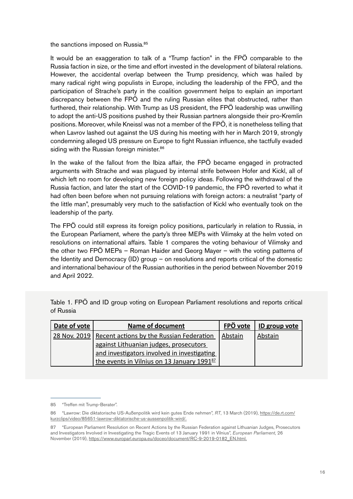the sanctions imposed on Russia.<sup>85</sup>

It would be an exaggeration to talk of a "Trump faction" in the FPÖ comparable to the Russia faction in size, or the time and effort invested in the development of bilateral relations. However, the accidental overlap between the Trump presidency, which was hailed by many radical right wing populists in Europe, including the leadership of the FPÖ, and the participation of Strache's party in the coalition government helps to explain an important discrepancy between the FPÖ and the ruling Russian elites that obstructed, rather than furthered, their relationship. With Trump as US president, the FPÖ leadership was unwilling to adopt the anti-US positions pushed by their Russian partners alongside their pro-Kremlin positions. Moreover, while Kneissl was not a member of the FPÖ, it is nonetheless telling that when Lavrov lashed out against the US during his meeting with her in March 2019, strongly condemning alleged US pressure on Europe to fight Russian influence, she tactfully evaded siding with the Russian foreign minister.<sup>86</sup>

In the wake of the fallout from the Ibiza affair, the FPÖ became engaged in protracted arguments with Strache and was plagued by internal strife between Hofer and Kickl, all of which left no room for developing new foreign policy ideas. Following the withdrawal of the Russia faction, and later the start of the COVID-19 pandemic, the FPÖ reverted to what it had often been before when not pursuing relations with foreign actors: a neutralist "party of the little man", presumably very much to the satisfaction of Kickl who eventually took on the leadership of the party.

The FPÖ could still express its foreign policy positions, particularly in relation to Russia, in the European Parliament, where the party's three MEPs with Vilimsky at the helm voted on resolutions on international affairs. Table 1 compares the voting behaviour of Vilimsky and the other two FPÖ MEPs – Roman Haider and Georg Mayer – with the voting patterns of the Identity and Democracy (ID) group – on resolutions and reports critical of the domestic and international behaviour of the Russian authorities in the period between November 2019 and April 2022.

| Date of vote | <b>Name of document</b>                                 | FPÖ vote | ID group vote |
|--------------|---------------------------------------------------------|----------|---------------|
|              | 28 Nov. 2019   Recent actions by the Russian Federation | Abstain  | Abstain       |
|              | against Lithuanian judges, prosecutors                  |          |               |
|              | and investigators involved in investigating             |          |               |
|              | the events in Vilnius on 13 January 1991 <sup>87</sup>  |          |               |

Table 1. FPÖ and ID group voting on European Parliament resolutions and reports critical of Russia

<sup>85 &</sup>quot;Treffen mit Trump-Berater".

<sup>86 &</sup>quot;Lawrow: Die diktatorische US-Außenpolitik wird kein gutes Ende nehmen", *RT*, 13 March (2019), [https://de.rt.com/](https://de.rt.com/kurzclips/video/85651-lawrow-diktatorische-us-aussenpolitik-wird/.) [kurzclips/video/85651-lawrow-diktatorische-us-aussenpolitik-wird/.](https://de.rt.com/kurzclips/video/85651-lawrow-diktatorische-us-aussenpolitik-wird/.)

<sup>87 &</sup>quot;European Parliament Resolution on Recent Actions by the Russian Federation against Lithuanian Judges, Prosecutors and Investigators Involved in Investigating the Tragic Events of 13 January 1991 in Vilnius", *European Parliament*, 26 November (2019), [https://www.europarl.europa.eu/doceo/document/RC-9-2019-0182\\_EN.html.](https://www.europarl.europa.eu/doceo/document/RC-9-2019-0182_EN.html.)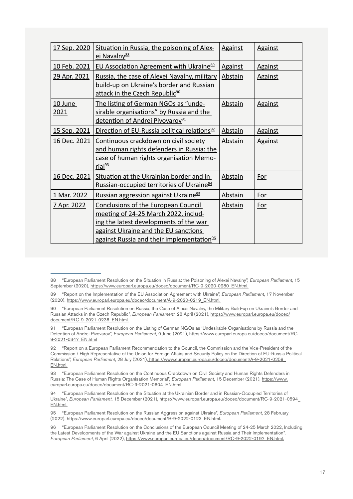| 17 Sep. 2020    | Situation in Russia, the poisoning of Alex-<br>ei Navalny <sup>88</sup>                                                                                                                                                | <b>Against</b> | <b>Against</b> |
|-----------------|------------------------------------------------------------------------------------------------------------------------------------------------------------------------------------------------------------------------|----------------|----------------|
| 10 Feb. 2021    | <b>EU Association Agreement with Ukraine</b> <sup>89</sup>                                                                                                                                                             | <b>Against</b> | <b>Against</b> |
| 29 Apr. 2021    | Russia, the case of Alexei Navalny, military<br>build-up on Ukraine's border and Russian<br>attack in the Czech Republic <sup>90</sup>                                                                                 | <b>Abstain</b> | <b>Against</b> |
| 10 June<br>2021 | The listing of German NGOs as "unde-<br>sirable organisations" by Russia and the<br>detention of Andrei Pivovarov <sup>91</sup>                                                                                        | Abstain        | <b>Against</b> |
| 15 Sep. 2021    | Direction of EU-Russia political relations <sup>92</sup>                                                                                                                                                               | <b>Abstain</b> | <b>Against</b> |
| 16 Dec. 2021    | Continuous crackdown on civil society<br>and human rights defenders in Russia: the<br>case of human rights organisation Memo-<br>rial <sup>93</sup>                                                                    | Abstain        | <b>Against</b> |
| 16 Dec. 2021    | Situation at the Ukrainian border and in<br>Russian-occupied territories of Ukraine <sup>94</sup>                                                                                                                      | Abstain        | <u>For</u>     |
| 1 Mar. 2022     | Russian aggression against Ukraine <sup>95</sup>                                                                                                                                                                       | Abstain        | <u>For</u>     |
| 7 Apr. 2022     | Conclusions of the European Council<br>meeting of 24-25 March 2022, includ-<br>ing the latest developments of the war<br>against Ukraine and the EU sanctions<br>against Russia and their implementation <sup>96</sup> | <b>Abstain</b> | <u>For</u>     |

93 "European Parliament Resolution on the Continuous Crackdown on Civil Society and Human Rights Defenders in Russia: The Case of Human Rights Organisation Memorial", *European Parliament*, 15 December (2021), [https://www.](https://www.europarl.europa.eu/doceo/document/RC-9-2021-0604_EN.html) [europarl.europa.eu/doceo/document/RC-9-2021-0604\\_EN.html](https://www.europarl.europa.eu/doceo/document/RC-9-2021-0604_EN.html)

<sup>88 &</sup>quot;European Parliament Resolution on the Situation in Russia: the Poisoning of Alexei Navalny", *European Parliament*, 15 September (2020), [https://www.europarl.europa.eu/doceo/document/RC-9-2020-0280\\_EN.html.](https://www.europarl.europa.eu/doceo/document/RC-9-2020-0280_EN.html.)

<sup>89 &</sup>quot;Report on the Implementation of the EU Association Agreement with Ukraine", *European Parliament*, 17 November (2020), [https://www.europarl.europa.eu/doceo/document/A-9-2020-0219\\_EN.html.](https://www.europarl.europa.eu/doceo/document/A-9-2020-0219_EN.html.)

<sup>90 &</sup>quot;European Parliament Resolution on Russia, the Case of Alexei Navalny, the Military Build-up on Ukraine's Border and Russian Attacks in the Czech Republic", *European Parliament*, 28 April (2021), [https://www.europarl.europa.eu/doceo/](https://www.europarl.europa.eu/doceo/document/RC-9-2021-0236_EN.html.) [document/RC-9-2021-0236\\_EN.html.](https://www.europarl.europa.eu/doceo/document/RC-9-2021-0236_EN.html.)

<sup>91 &</sup>quot;European Parliament Resolution on the Listing of German NGOs as 'Undesirable Organisations by Russia and the Detention of Andrei Pivovarov", *European Parliament*, 9 June (2021), [https://www.europarl.europa.eu/doceo/document/RC-](https://www.europarl.europa.eu/doceo/document/RC-9-2021-0347_EN.html)[9-2021-0347\\_EN.html](https://www.europarl.europa.eu/doceo/document/RC-9-2021-0347_EN.html)

<sup>92 &</sup>quot;Report on a European Parliament Recommendation to the Council, the Commission and the Vice-President of the Commission / High Representative of the Union for Foreign Affairs and Security Policy on the Direction of EU-Russia Political Relations", *European Parliament*, 28 July (2021), [https://www.europarl.europa.eu/doceo/document/A-9-2021-0259\\_]( https://www.europarl.europa.eu/doceo/document/A-9-2021-0259_EN.html.) [EN.html.]( https://www.europarl.europa.eu/doceo/document/A-9-2021-0259_EN.html.)

<sup>94 &</sup>quot;European Parliament Resolution on the Situation at the Ukrainian Border and in Russian-Occupied Territories of Ukraine", *European Parliament*, 15 December (2021), [https://www.europarl.europa.eu/doceo/document/RC-9-2021-0594\\_]( https://www.europarl.europa.eu/doceo/document/RC-9-2021-0594_EN.html.) [EN.html.]( https://www.europarl.europa.eu/doceo/document/RC-9-2021-0594_EN.html.)

<sup>95 &</sup>quot;European Parliament Resolution on the Russian Aggression against Ukraine", *European Parliament*, 28 February (2022), [https://www.europarl.europa.eu/doceo/document/B-9-2022-0123\\_EN.html.](https://www.europarl.europa.eu/doceo/document/B-9-2022-0123_EN.html.)

<sup>96 &</sup>quot;European Parliament Resolution on the Conclusions of the European Council Meeting of 24-25 March 2022, Including the Latest Developments of the War against Ukraine and the EU Sanctions against Russia and Their Implementation", *European Parliament*, 6 April (2022), [https://www.europarl.europa.eu/doceo/document/RC-9-2022-0197\\_EN.html.](https://www.europarl.europa.eu/doceo/document/RC-9-2022-0197_EN.html.)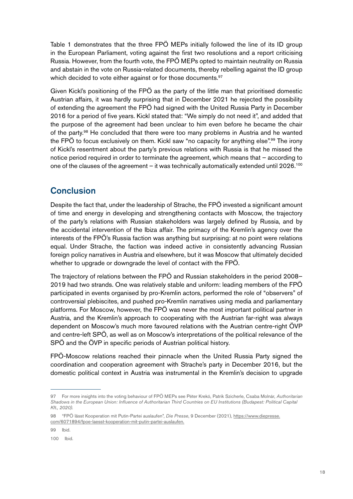Table 1 demonstrates that the three FPÖ MEPs initially followed the line of its ID group in the European Parliament, voting against the first two resolutions and a report criticising Russia. However, from the fourth vote, the FPÖ MEPs opted to maintain neutrality on Russia and abstain in the vote on Russia-related documents, thereby rebelling against the ID group which decided to vote either against or for those documents.<sup>97</sup>

Given Kickl's positioning of the FPÖ as the party of the little man that prioritised domestic Austrian affairs, it was hardly surprising that in December 2021 he rejected the possibility of extending the agreement the FPÖ had signed with the United Russia Party in December 2016 for a period of five years. Kickl stated that: "We simply do not need it", and added that the purpose of the agreement had been unclear to him even before he became the chair of the party.<sup>98</sup> He concluded that there were too many problems in Austria and he wanted the FPÖ to focus exclusively on them. Kickl saw "no capacity for anything else".<sup>99</sup> The irony of Kickl's resentment about the party's previous relations with Russia is that he missed the notice period required in order to terminate the agreement, which means that – according to one of the clauses of the agreement – it was technically automatically extended until 2026.<sup>100</sup>

## **Conclusion**

Despite the fact that, under the leadership of Strache, the FPÖ invested a significant amount of time and energy in developing and strengthening contacts with Moscow, the trajectory of the party's relations with Russian stakeholders was largely defined by Russia, and by the accidental intervention of the Ibiza affair. The primacy of the Kremlin's agency over the interests of the FPÖ's Russia faction was anything but surprising: at no point were relations equal. Under Strache, the faction was indeed active in consistently advancing Russian foreign policy narratives in Austria and elsewhere, but it was Moscow that ultimately decided whether to upgrade or downgrade the level of contact with the FPÖ.

The trajectory of relations between the FPÖ and Russian stakeholders in the period 2008– 2019 had two strands. One was relatively stable and uniform: leading members of the FPÖ participated in events organised by pro-Kremlin actors, performed the role of "observers" of controversial plebiscites, and pushed pro-Kremlin narratives using media and parliamentary platforms. For Moscow, however, the FPÖ was never the most important political partner in Austria, and the Kremlin's approach to cooperating with the Austrian far-right was always dependent on Moscow's much more favoured relations with the Austrian centre-right ÖVP and centre-left SPÖ, as well as on Moscow's interpretations of the political relevance of the SPÖ and the ÖVP in specific periods of Austrian political history.

FPÖ-Moscow relations reached their pinnacle when the United Russia Party signed the coordination and cooperation agreement with Strache's party in December 2016, but the domestic political context in Austria was instrumental in the Kremlin's decision to upgrade

99 Ibid.

<sup>97</sup> For more insights into the voting behaviour of FPÖ MEPs see Péter Krekó, Patrik Szicherle, Csaba Molnár, *Authoritarian Shadows in the European Union: Influence of Authoritarian Third Countries on EU Institutions (Budapest: Political Capital Kft., 2020).*

<sup>98 &</sup>quot;FPÖ lässt Kooperation mit Putin-Partei auslaufen", *Die Presse*, 9 December (2021), [https://www.diepresse.](https://www.diepresse.com/6071894/fpoe-laesst-kooperation-mit-putin-partei-auslaufen.) [com/6071894/fpoe-laesst-kooperation-mit-putin-partei-auslaufen.](https://www.diepresse.com/6071894/fpoe-laesst-kooperation-mit-putin-partei-auslaufen.)

<sup>100</sup> Ibid.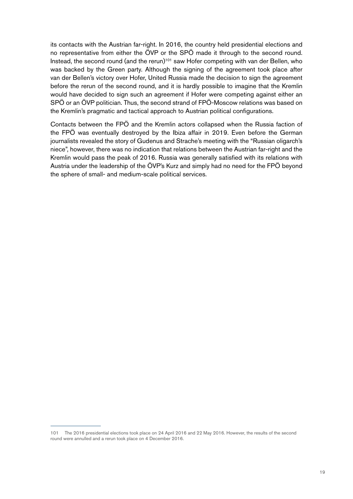its contacts with the Austrian far-right. In 2016, the country held presidential elections and no representative from either the ÖVP or the SPÖ made it through to the second round. Instead, the second round (and the rerun)<sup>101</sup> saw Hofer competing with van der Bellen, who was backed by the Green party. Although the signing of the agreement took place after van der Bellen's victory over Hofer, United Russia made the decision to sign the agreement before the rerun of the second round, and it is hardly possible to imagine that the Kremlin would have decided to sign such an agreement if Hofer were competing against either an SPÖ or an ÖVP politician. Thus, the second strand of FPÖ-Moscow relations was based on the Kremlin's pragmatic and tactical approach to Austrian political configurations.

Contacts between the FPÖ and the Kremlin actors collapsed when the Russia faction of the FPÖ was eventually destroyed by the Ibiza affair in 2019. Even before the German journalists revealed the story of Gudenus and Strache's meeting with the "Russian oligarch's niece", however, there was no indication that relations between the Austrian far-right and the Kremlin would pass the peak of 2016. Russia was generally satisfied with its relations with Austria under the leadership of the ÖVP's Kurz and simply had no need for the FPÖ beyond the sphere of small- and medium-scale political services.

<sup>101</sup> The 2016 presidential elections took place on 24 April 2016 and 22 May 2016. However, the results of the second round were annulled and a rerun took place on 4 December 2016.